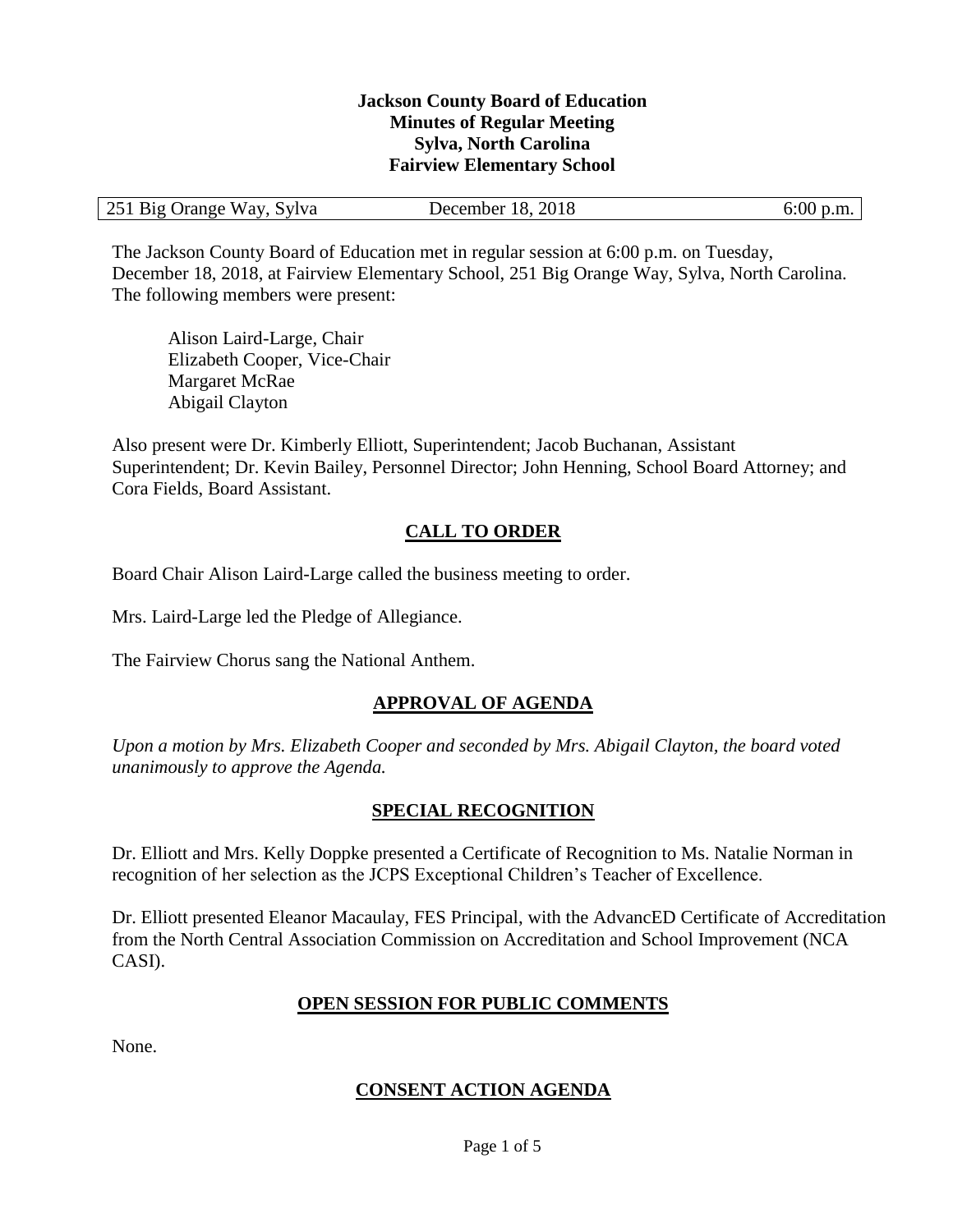#### **Jackson County Board of Education Minutes of Regular Meeting Sylva, North Carolina Fairview Elementary School**

| 251 Big Orange Way, Sylva | 18, 2018<br>December | 6:00 p.m. |
|---------------------------|----------------------|-----------|
|---------------------------|----------------------|-----------|

The Jackson County Board of Education met in regular session at 6:00 p.m. on Tuesday, December 18, 2018, at Fairview Elementary School, 251 Big Orange Way, Sylva, North Carolina. The following members were present:

Alison Laird-Large, Chair Elizabeth Cooper, Vice-Chair Margaret McRae Abigail Clayton

Also present were Dr. Kimberly Elliott, Superintendent; Jacob Buchanan, Assistant Superintendent; Dr. Kevin Bailey, Personnel Director; John Henning, School Board Attorney; and Cora Fields, Board Assistant.

## **CALL TO ORDER**

Board Chair Alison Laird-Large called the business meeting to order.

Mrs. Laird-Large led the Pledge of Allegiance.

The Fairview Chorus sang the National Anthem.

#### **APPROVAL OF AGENDA**

*Upon a motion by Mrs. Elizabeth Cooper and seconded by Mrs. Abigail Clayton, the board voted unanimously to approve the Agenda.*

#### **SPECIAL RECOGNITION**

Dr. Elliott and Mrs. Kelly Doppke presented a Certificate of Recognition to Ms. Natalie Norman in recognition of her selection as the JCPS Exceptional Children's Teacher of Excellence.

Dr. Elliott presented Eleanor Macaulay, FES Principal, with the AdvancED Certificate of Accreditation from the North Central Association Commission on Accreditation and School Improvement (NCA CASI).

#### **OPEN SESSION FOR PUBLIC COMMENTS**

None.

## **CONSENT ACTION AGENDA**

Page 1 of 5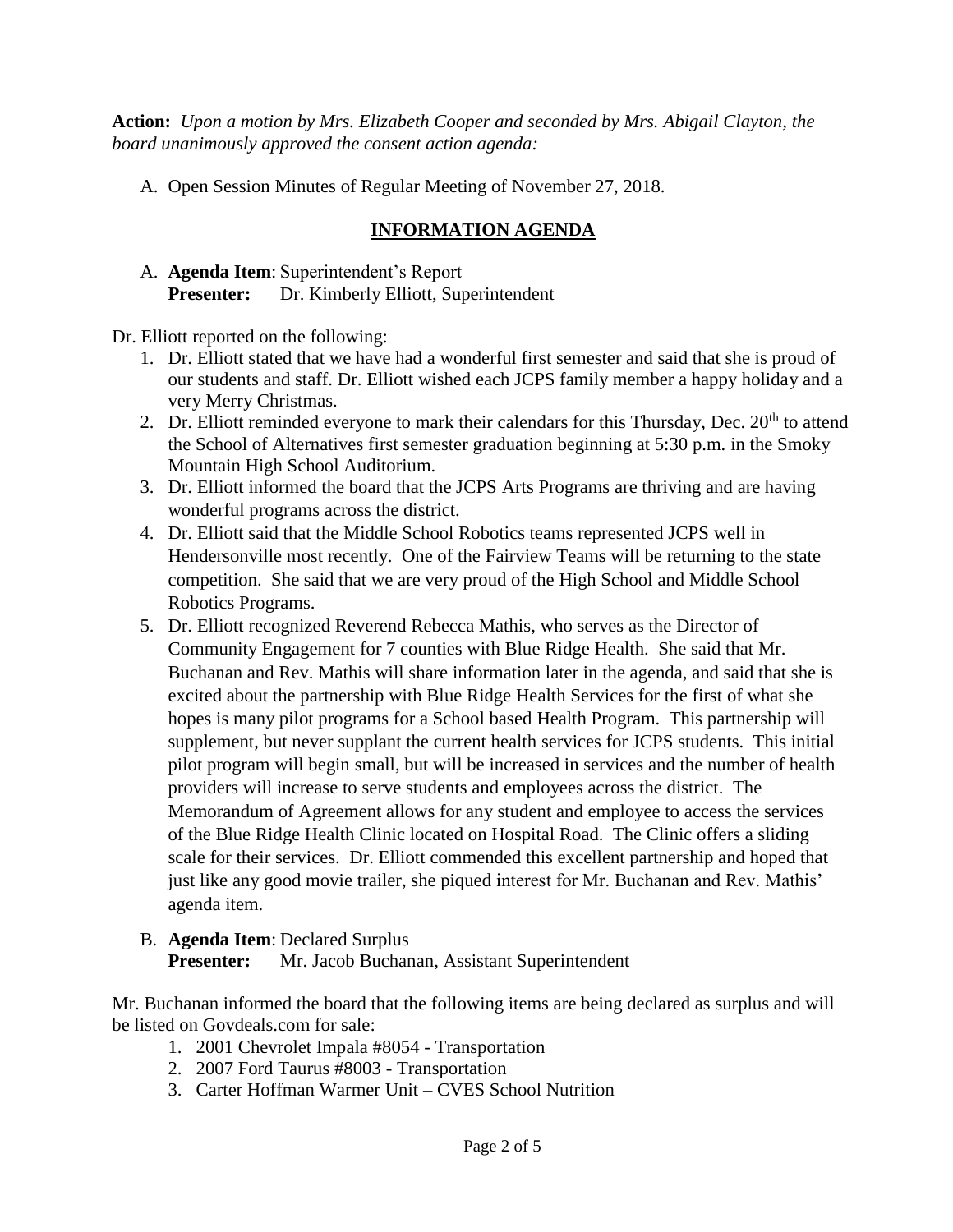**Action:** *Upon a motion by Mrs. Elizabeth Cooper and seconded by Mrs. Abigail Clayton, the board unanimously approved the consent action agenda:*

A. Open Session Minutes of Regular Meeting of November 27, 2018.

## **INFORMATION AGENDA**

A. **Agenda Item**: Superintendent's Report **Presenter:** Dr. Kimberly Elliott, Superintendent

Dr. Elliott reported on the following:

- 1. Dr. Elliott stated that we have had a wonderful first semester and said that she is proud of our students and staff. Dr. Elliott wished each JCPS family member a happy holiday and a very Merry Christmas.
- 2. Dr. Elliott reminded everyone to mark their calendars for this Thursday, Dec. 20<sup>th</sup> to attend the School of Alternatives first semester graduation beginning at 5:30 p.m. in the Smoky Mountain High School Auditorium.
- 3. Dr. Elliott informed the board that the JCPS Arts Programs are thriving and are having wonderful programs across the district.
- 4. Dr. Elliott said that the Middle School Robotics teams represented JCPS well in Hendersonville most recently. One of the Fairview Teams will be returning to the state competition. She said that we are very proud of the High School and Middle School Robotics Programs.
- 5. Dr. Elliott recognized Reverend Rebecca Mathis, who serves as the Director of Community Engagement for 7 counties with Blue Ridge Health. She said that Mr. Buchanan and Rev. Mathis will share information later in the agenda, and said that she is excited about the partnership with Blue Ridge Health Services for the first of what she hopes is many pilot programs for a School based Health Program. This partnership will supplement, but never supplant the current health services for JCPS students. This initial pilot program will begin small, but will be increased in services and the number of health providers will increase to serve students and employees across the district. The Memorandum of Agreement allows for any student and employee to access the services of the Blue Ridge Health Clinic located on Hospital Road. The Clinic offers a sliding scale for their services. Dr. Elliott commended this excellent partnership and hoped that just like any good movie trailer, she piqued interest for Mr. Buchanan and Rev. Mathis' agenda item.
- B. **Agenda Item**: Declared Surplus **Presenter:** Mr. Jacob Buchanan, Assistant Superintendent

Mr. Buchanan informed the board that the following items are being declared as surplus and will be listed on Govdeals.com for sale:

- 1. 2001 Chevrolet Impala #8054 Transportation
- 2. 2007 Ford Taurus #8003 Transportation
- 3. Carter Hoffman Warmer Unit CVES School Nutrition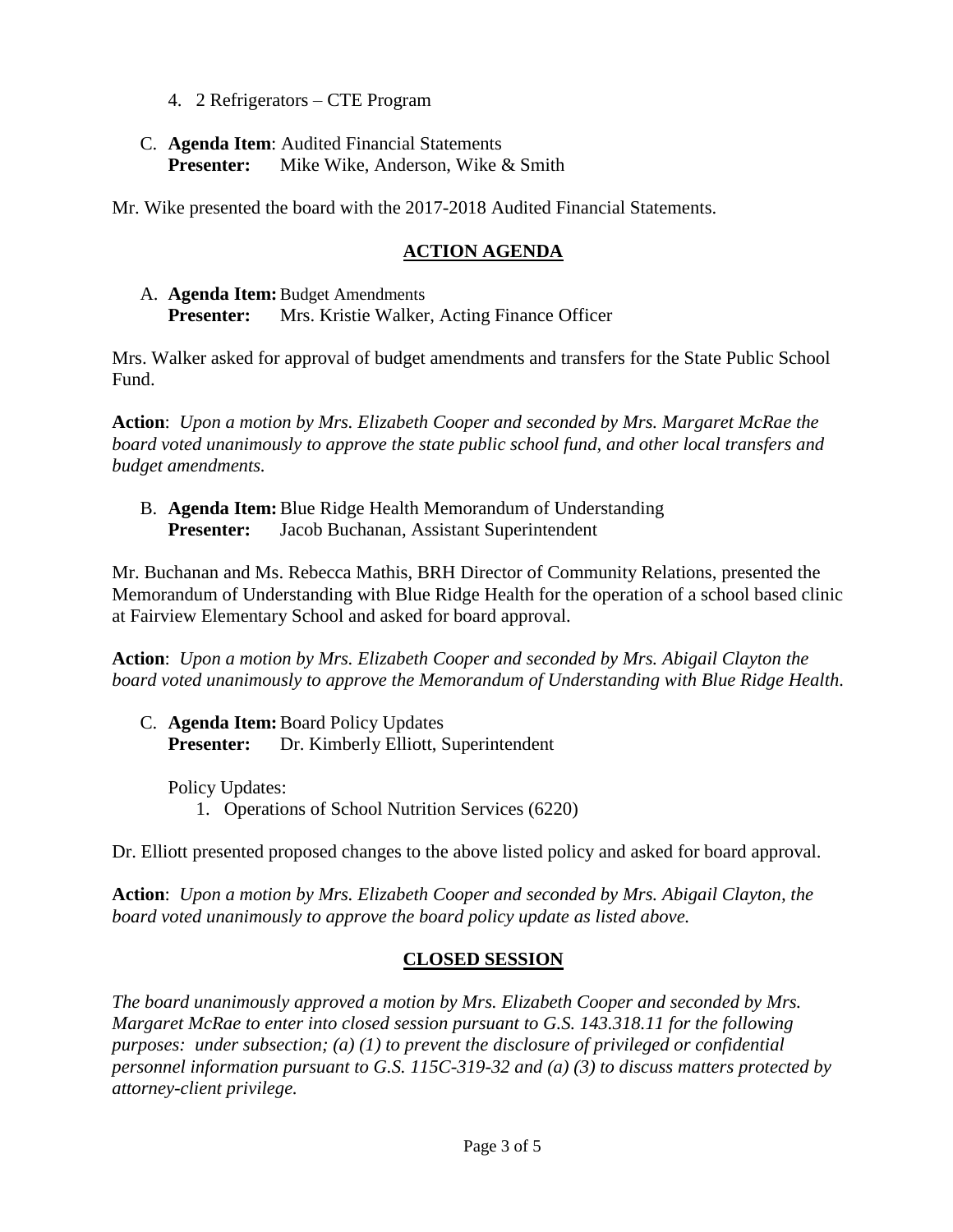- 4. 2 Refrigerators CTE Program
- C. **Agenda Item**: Audited Financial Statements **Presenter:** Mike Wike, Anderson, Wike & Smith

Mr. Wike presented the board with the 2017-2018 Audited Financial Statements.

## **ACTION AGENDA**

A. **Agenda Item:**Budget Amendments **Presenter:** Mrs. Kristie Walker, Acting Finance Officer

Mrs. Walker asked for approval of budget amendments and transfers for the State Public School Fund.

**Action**: *Upon a motion by Mrs. Elizabeth Cooper and seconded by Mrs. Margaret McRae the board voted unanimously to approve the state public school fund, and other local transfers and budget amendments.*

B. **Agenda Item:**Blue Ridge Health Memorandum of Understanding **Presenter:** Jacob Buchanan, Assistant Superintendent

Mr. Buchanan and Ms. Rebecca Mathis, BRH Director of Community Relations, presented the Memorandum of Understanding with Blue Ridge Health for the operation of a school based clinic at Fairview Elementary School and asked for board approval.

**Action**: *Upon a motion by Mrs. Elizabeth Cooper and seconded by Mrs. Abigail Clayton the board voted unanimously to approve the Memorandum of Understanding with Blue Ridge Health.*

C. **Agenda Item:**Board Policy Updates **Presenter:** Dr. Kimberly Elliott, Superintendent

Policy Updates: 1. Operations of School Nutrition Services (6220)

Dr. Elliott presented proposed changes to the above listed policy and asked for board approval.

**Action**: *Upon a motion by Mrs. Elizabeth Cooper and seconded by Mrs. Abigail Clayton, the board voted unanimously to approve the board policy update as listed above.*

## **CLOSED SESSION**

*The board unanimously approved a motion by Mrs. Elizabeth Cooper and seconded by Mrs. Margaret McRae to enter into closed session pursuant to G.S. 143.318.11 for the following purposes: under subsection; (a) (1) to prevent the disclosure of privileged or confidential personnel information pursuant to G.S. 115C-319-32 and (a) (3) to discuss matters protected by attorney-client privilege.*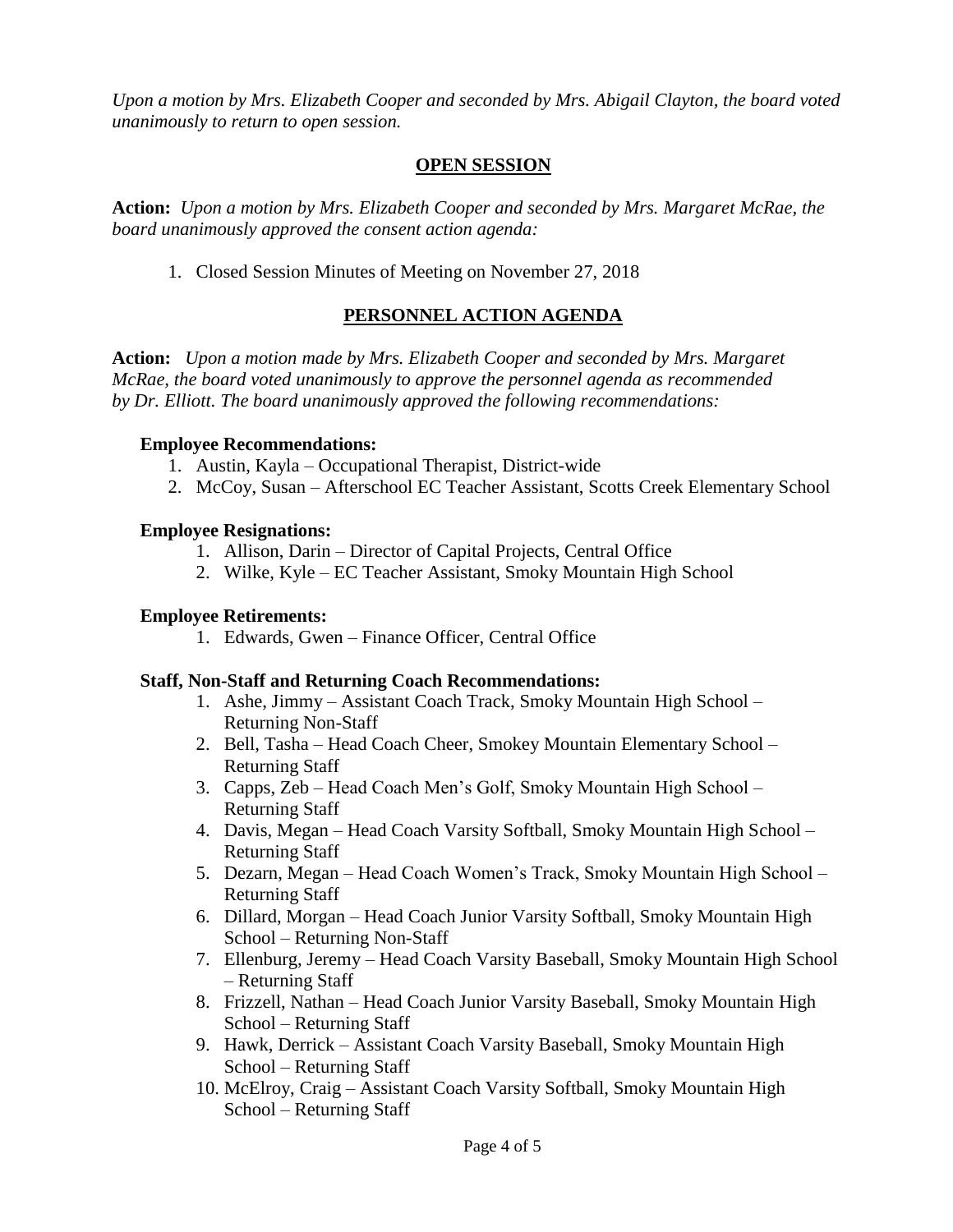*Upon a motion by Mrs. Elizabeth Cooper and seconded by Mrs. Abigail Clayton, the board voted unanimously to return to open session.*

#### **OPEN SESSION**

**Action:** *Upon a motion by Mrs. Elizabeth Cooper and seconded by Mrs. Margaret McRae, the board unanimously approved the consent action agenda:*

1. Closed Session Minutes of Meeting on November 27, 2018

# **PERSONNEL ACTION AGENDA**

**Action:** *Upon a motion made by Mrs. Elizabeth Cooper and seconded by Mrs. Margaret McRae, the board voted unanimously to approve the personnel agenda as recommended by Dr. Elliott. The board unanimously approved the following recommendations:*

#### **Employee Recommendations:**

- 1. Austin, Kayla Occupational Therapist, District-wide
- 2. McCoy, Susan Afterschool EC Teacher Assistant, Scotts Creek Elementary School

### **Employee Resignations:**

- 1. Allison, Darin Director of Capital Projects, Central Office
- 2. Wilke, Kyle EC Teacher Assistant, Smoky Mountain High School

#### **Employee Retirements:**

1. Edwards, Gwen – Finance Officer, Central Office

#### **Staff, Non-Staff and Returning Coach Recommendations:**

- 1. Ashe, Jimmy Assistant Coach Track, Smoky Mountain High School Returning Non-Staff
- 2. Bell, Tasha Head Coach Cheer, Smokey Mountain Elementary School Returning Staff
- 3. Capps, Zeb Head Coach Men's Golf, Smoky Mountain High School Returning Staff
- 4. Davis, Megan Head Coach Varsity Softball, Smoky Mountain High School Returning Staff
- 5. Dezarn, Megan Head Coach Women's Track, Smoky Mountain High School Returning Staff
- 6. Dillard, Morgan Head Coach Junior Varsity Softball, Smoky Mountain High School – Returning Non-Staff
- 7. Ellenburg, Jeremy Head Coach Varsity Baseball, Smoky Mountain High School – Returning Staff
- 8. Frizzell, Nathan Head Coach Junior Varsity Baseball, Smoky Mountain High School – Returning Staff
- 9. Hawk, Derrick Assistant Coach Varsity Baseball, Smoky Mountain High School – Returning Staff
- 10. McElroy, Craig Assistant Coach Varsity Softball, Smoky Mountain High School – Returning Staff